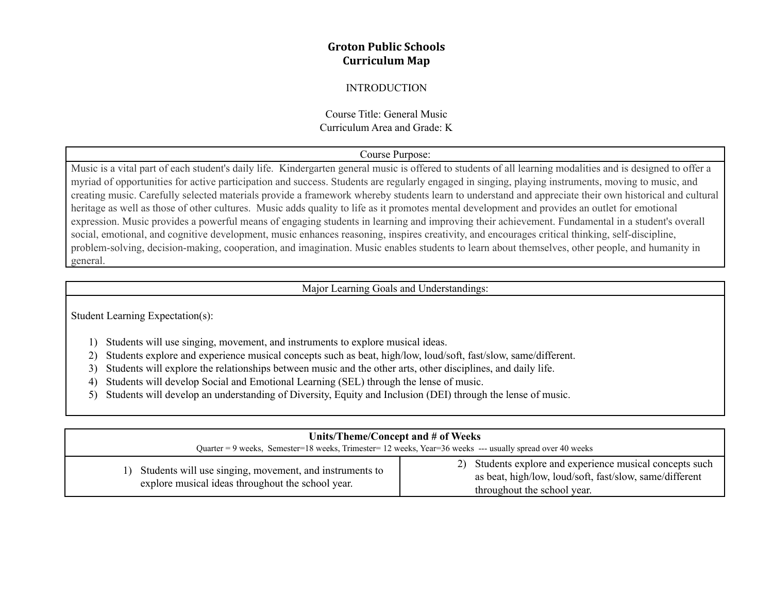# **Groton Public Schools Curriculum Map**

## INTRODUCTION

# Course Title: General Music Curriculum Area and Grade: K

# Course Purpose:

Music is a vital part of each student's daily life. Kindergarten general music is offered to students of all learning modalities and is designed to offer a myriad of opportunities for active participation and success. Students are regularly engaged in singing, playing instruments, moving to music, and creating music. Carefully selected materials provide a framework whereby students learn to understand and appreciate their own historical and cultural heritage as well as those of other cultures. Music adds quality to life as it promotes mental development and provides an outlet for emotional expression. Music provides a powerful means of engaging students in learning and improving their achievement. Fundamental in a student's overall social, emotional, and cognitive development, music enhances reasoning, inspires creativity, and encourages critical thinking, self-discipline, problem-solving, decision-making, cooperation, and imagination. Music enables students to learn about themselves, other people, and humanity in general.

## Major Learning Goals and Understandings:

Student Learning Expectation(s):

- 1) Students will use singing, movement, and instruments to explore musical ideas.
- 2) Students explore and experience musical concepts such as beat, high/low, loud/soft, fast/slow, same/different.
- 3) Students will explore the relationships between music and the other arts, other disciplines, and daily life.
- 4) Students will develop Social and Emotional Learning (SEL) through the lense of music.
- 5) Students will develop an understanding of Diversity, Equity and Inclusion (DEI) through the lense of music.

| Units/Theme/Concept and # of Weeks<br>Quarter = 9 weeks, Semester=18 weeks, Trimester=12 weeks, Year=36 weeks --- usually spread over 40 weeks |                                                                                                                                                    |  |
|------------------------------------------------------------------------------------------------------------------------------------------------|----------------------------------------------------------------------------------------------------------------------------------------------------|--|
| 1) Students will use singing, movement, and instruments to<br>explore musical ideas throughout the school year.                                | 2) Students explore and experience musical concepts such<br>as beat, high/low, loud/soft, fast/slow, same/different<br>throughout the school year. |  |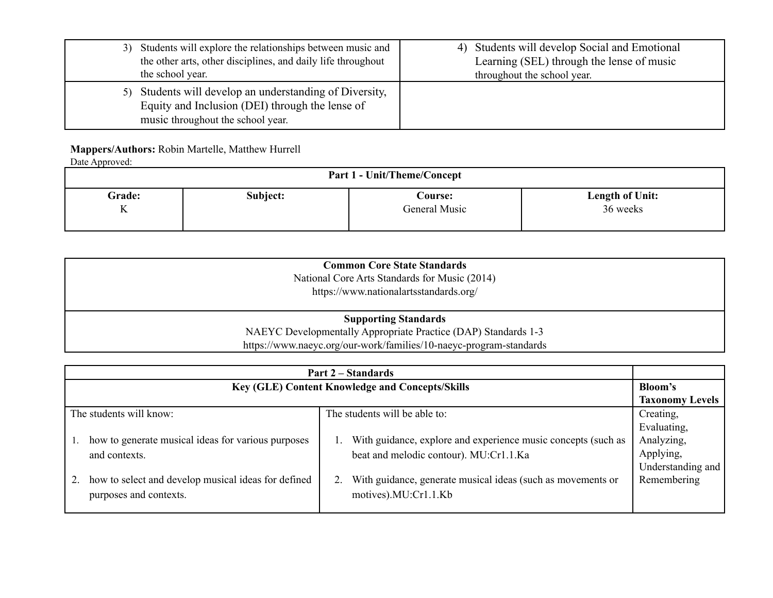| Students will explore the relationships between music and<br>3)<br>the other arts, other disciplines, and daily life throughout<br>the school year. | 4) Students will develop Social and Emotional<br>Learning (SEL) through the lense of music<br>throughout the school year. |
|-----------------------------------------------------------------------------------------------------------------------------------------------------|---------------------------------------------------------------------------------------------------------------------------|
| Students will develop an understanding of Diversity,<br>5)<br>Equity and Inclusion (DEI) through the lense of<br>music throughout the school year.  |                                                                                                                           |

## **Mappers/Authors:** Robin Martelle, Matthew Hurrell

| Date Approved:                     |          |                |                 |
|------------------------------------|----------|----------------|-----------------|
| <b>Part 1 - Unit/Theme/Concept</b> |          |                |                 |
| Grade:                             | Subject: | <b>Course:</b> | Length of Unit: |
| K                                  |          | General Music  | 36 weeks        |
|                                    |          |                |                 |

| <b>Common Core State Standards</b>                                 |  |
|--------------------------------------------------------------------|--|
| National Core Arts Standards for Music (2014)                      |  |
| https://www.nationalartsstandards.org/                             |  |
|                                                                    |  |
| <b>Supporting Standards</b>                                        |  |
| NAEYC Developmentally Appropriate Practice (DAP) Standards 1-3     |  |
| https://www.naeyc.org/our-work/families/10-naeyc-program-standards |  |

| <b>Part 2 – Standards</b> |                                                     |                                                                   |                   |  |
|---------------------------|-----------------------------------------------------|-------------------------------------------------------------------|-------------------|--|
|                           | Key (GLE) Content Knowledge and Concepts/Skills     |                                                                   |                   |  |
|                           | <b>Taxonomy Levels</b>                              |                                                                   |                   |  |
| The students will know:   |                                                     | The students will be able to:                                     | Creating,         |  |
|                           |                                                     |                                                                   | Evaluating,       |  |
|                           | how to generate musical ideas for various purposes  | With guidance, explore and experience music concepts (such as     | Analyzing,        |  |
|                           | and contexts.                                       | beat and melodic contour). MU:Cr1.1.Ka                            | Applying,         |  |
|                           |                                                     |                                                                   | Understanding and |  |
|                           | how to select and develop musical ideas for defined | With guidance, generate musical ideas (such as movements or<br>2. | Remembering       |  |
|                           | purposes and contexts.                              | motives).MU:Cr1.1.Kb                                              |                   |  |
|                           |                                                     |                                                                   |                   |  |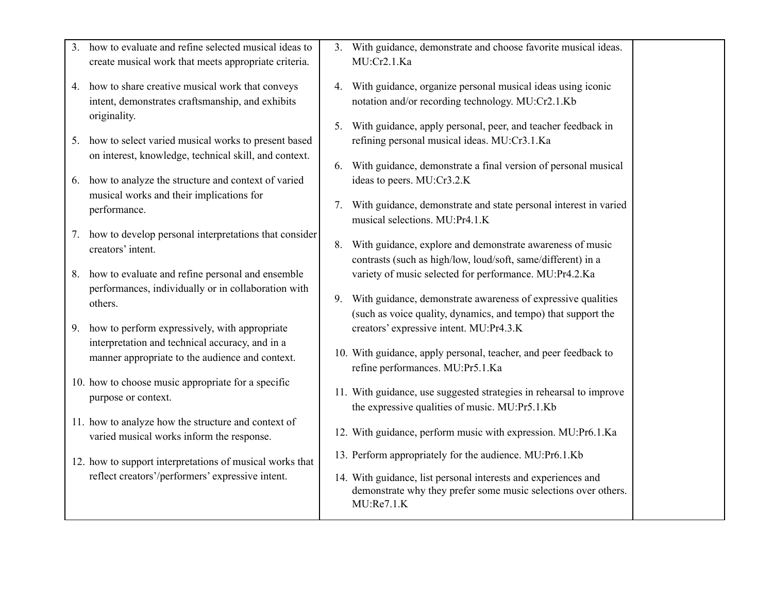| 3 <sub>1</sub> | how to evaluate and refine selected musical ideas to                                                                                                   | 3. With guidance, demonstrate and choose favorite musical ideas.                                                                                                                           |  |
|----------------|--------------------------------------------------------------------------------------------------------------------------------------------------------|--------------------------------------------------------------------------------------------------------------------------------------------------------------------------------------------|--|
|                | create musical work that meets appropriate criteria.                                                                                                   | MU:Cr2.1.Ka                                                                                                                                                                                |  |
|                | 4. how to share creative musical work that conveys<br>intent, demonstrates craftsmanship, and exhibits<br>originality.                                 | 4. With guidance, organize personal musical ideas using iconic<br>notation and/or recording technology. MU:Cr2.1.Kb<br>5. With guidance, apply personal, peer, and teacher feedback in     |  |
|                | 5. how to select varied musical works to present based<br>on interest, knowledge, technical skill, and context.                                        | refining personal musical ideas. MU:Cr3.1.Ka<br>6. With guidance, demonstrate a final version of personal musical                                                                          |  |
|                | 6. how to analyze the structure and context of varied<br>musical works and their implications for                                                      | ideas to peers. MU:Cr3.2.K                                                                                                                                                                 |  |
|                | performance.                                                                                                                                           | 7. With guidance, demonstrate and state personal interest in varied<br>musical selections. MU:Pr4.1.K                                                                                      |  |
|                | 7. how to develop personal interpretations that consider<br>creators' intent.                                                                          | 8. With guidance, explore and demonstrate awareness of music<br>contrasts (such as high/low, loud/soft, same/different) in a                                                               |  |
|                | 8. how to evaluate and refine personal and ensemble<br>performances, individually or in collaboration with<br>others.                                  | variety of music selected for performance. MU:Pr4.2.Ka<br>9. With guidance, demonstrate awareness of expressive qualities<br>(such as voice quality, dynamics, and tempo) that support the |  |
|                | 9. how to perform expressively, with appropriate<br>interpretation and technical accuracy, and in a<br>manner appropriate to the audience and context. | creators' expressive intent. MU:Pr4.3.K<br>10. With guidance, apply personal, teacher, and peer feedback to                                                                                |  |
|                |                                                                                                                                                        | refine performances. MU:Pr5.1.Ka                                                                                                                                                           |  |
|                | 10. how to choose music appropriate for a specific<br>purpose or context.                                                                              | 11. With guidance, use suggested strategies in rehearsal to improve<br>the expressive qualities of music. MU:Pr5.1.Kb                                                                      |  |
|                | 11. how to analyze how the structure and context of<br>varied musical works inform the response.                                                       | 12. With guidance, perform music with expression. MU:Pr6.1.Ka                                                                                                                              |  |
|                | 12. how to support interpretations of musical works that<br>reflect creators'/performers' expressive intent.                                           | 13. Perform appropriately for the audience. MU:Pr6.1.Kb<br>14. With guidance, list personal interests and experiences and                                                                  |  |
|                |                                                                                                                                                        | demonstrate why they prefer some music selections over others.<br>MU:Re7.1.K                                                                                                               |  |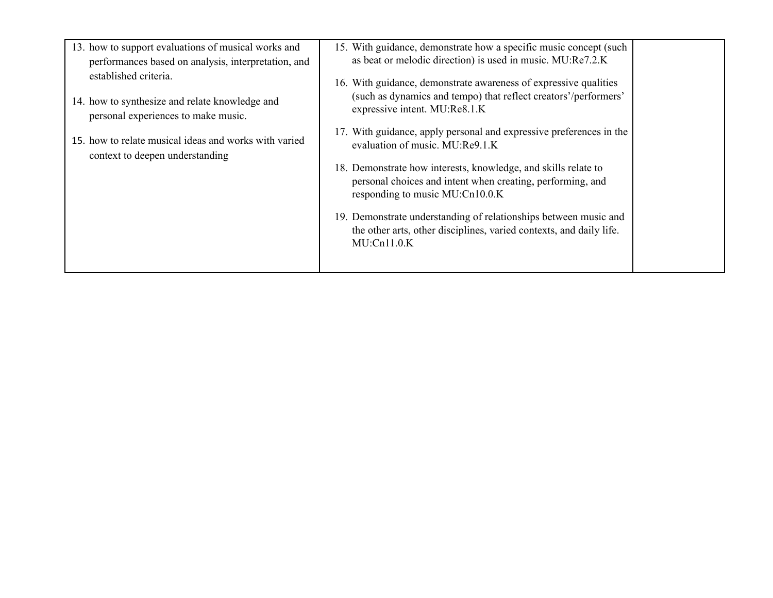| 13. how to support evaluations of musical works and<br>performances based on analysis, interpretation, and<br>established criteria. | 15. With guidance, demonstrate how a specific music concept (such<br>as beat or melodic direction) is used in music. MU:Re7.2.K                                      |
|-------------------------------------------------------------------------------------------------------------------------------------|----------------------------------------------------------------------------------------------------------------------------------------------------------------------|
| 14. how to synthesize and relate knowledge and<br>personal experiences to make music.                                               | 16. With guidance, demonstrate awareness of expressive qualities<br>(such as dynamics and tempo) that reflect creators'/performers'<br>expressive intent. MU:Re8.1.K |
| 15. how to relate musical ideas and works with varied<br>context to deepen understanding                                            | 17. With guidance, apply personal and expressive preferences in the<br>evaluation of music. MU:Re9.1.K                                                               |
|                                                                                                                                     | 18. Demonstrate how interests, knowledge, and skills relate to<br>personal choices and intent when creating, performing, and<br>responding to music MU:Cn10.0.K      |
|                                                                                                                                     | 19. Demonstrate understanding of relationships between music and<br>the other arts, other disciplines, varied contexts, and daily life.<br>$MU:$ Cn $11.0.K$         |
|                                                                                                                                     |                                                                                                                                                                      |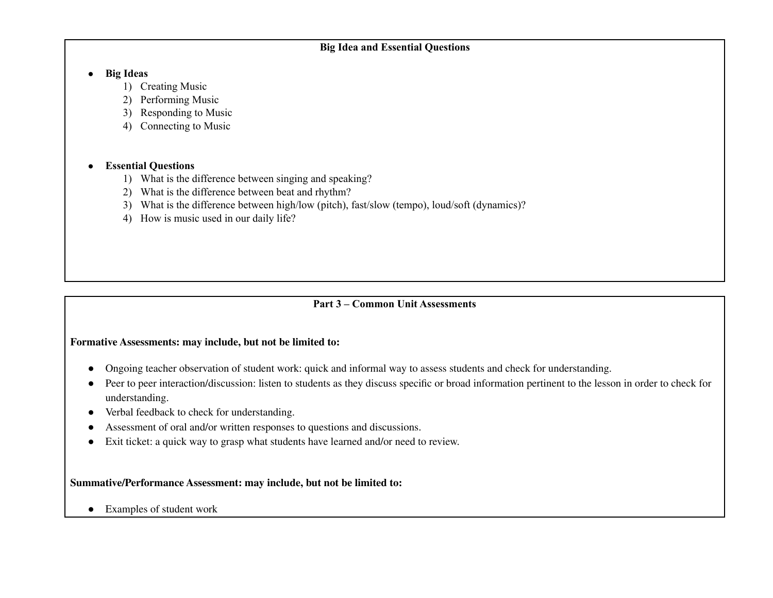# **Big Idea and Essential Questions**

#### **● Big Ideas**

- 1) Creating Music
- 2) Performing Music
- 3) Responding to Music
- 4) Connecting to Music

# **● Essential Questions**

- 1) What is the difference between singing and speaking?
- 2) What is the difference between beat and rhythm?
- 3) What is the difference between high/low (pitch), fast/slow (tempo), loud/soft (dynamics)?
- 4) How is music used in our daily life?

# **Part 3 – Common Unit Assessments**

#### **Formative Assessments: may include, but not be limited to:**

- Ongoing teacher observation of student work: quick and informal way to assess students and check for understanding.
- Peer to peer interaction/discussion: listen to students as they discuss specific or broad information pertinent to the lesson in order to check for understanding.
- Verbal feedback to check for understanding.
- Assessment of oral and/or written responses to questions and discussions.
- Exit ticket: a quick way to grasp what students have learned and/or need to review.

#### **Summative/Performance Assessment: may include, but not be limited to:**

● Examples of student work